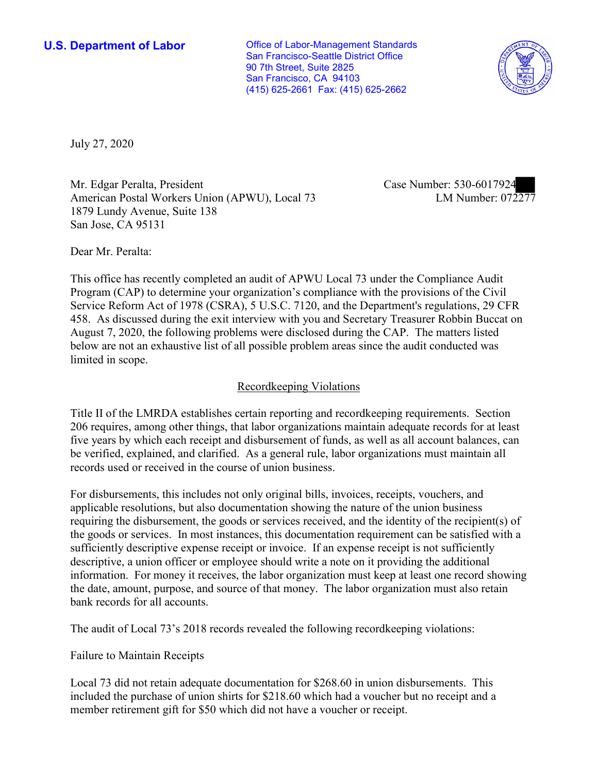**U.S. Department of Labor Conservative Conservative Conservative Conservative Conservative Conservative Conservative Conservative Conservative Conservative Conservative Conservative Conservative Conservative Conservative** San Francisco-Seattle District Office 90 7th Street, Suite 2825 San Francisco, CA 94103 (415) 625-2661 Fax: (415) 625-2662



July 27, 2020

Mr. Edgar Peralta, President American Postal Workers Union (APWU), Local 73 1879 Lundy Avenue, Suite 138 San Jose, CA 95131

Case Number: 530-6017924<br>LM Number: 072277

Dear Mr. Peralta:

 This office has recently completed an audit of APWU Local 73 under the Compliance Audit Program (CAP) to determine your organization's compliance with the provisions of the Civil Service Reform Act of 1978 (CSRA), 5 U.S.C. 7120, and the Department's regulations, 29 CFR 458. As discussed during the exit interview with you and Secretary Treasurer Robbin Buccat on August 7, 2020, the following problems were disclosed during the CAP. The matters listed below are not an exhaustive list of all possible problem areas since the audit conducted was limited in scope.

## Recordkeeping Violations

 Title II of the LMRDA establishes certain reporting and recordkeeping requirements. Section 206 requires, among other things, that labor organizations maintain adequate records for at least five years by which each receipt and disbursement of funds, as well as all account balances, can be verified, explained, and clarified. As a general rule, labor organizations must maintain all records used or received in the course of union business.

For disbursements, this includes not only original bills, invoices, receipts, vouchers, and applicable resolutions, but also documentation showing the nature of the union business requiring the disbursement, the goods or services received, and the identity of the recipient(s) of the goods or services. In most instances, this documentation requirement can be satisfied with a sufficiently descriptive expense receipt or invoice. If an expense receipt is not sufficiently descriptive, a union officer or employee should write a note on it providing the additional information. For money it receives, the labor organization must keep at least one record showing the date, amount, purpose, and source of that money. The labor organization must also retain bank records for all accounts.

The audit of Local 73's 2018 records revealed the following recordkeeping violations:

Failure to Maintain Receipts

Local 73 did not retain adequate documentation for \$268.60 in union disbursements. This included the purchase of union shirts for \$218.60 which had a voucher but no receipt and a member retirement gift for \$50 which did not have a voucher or receipt.